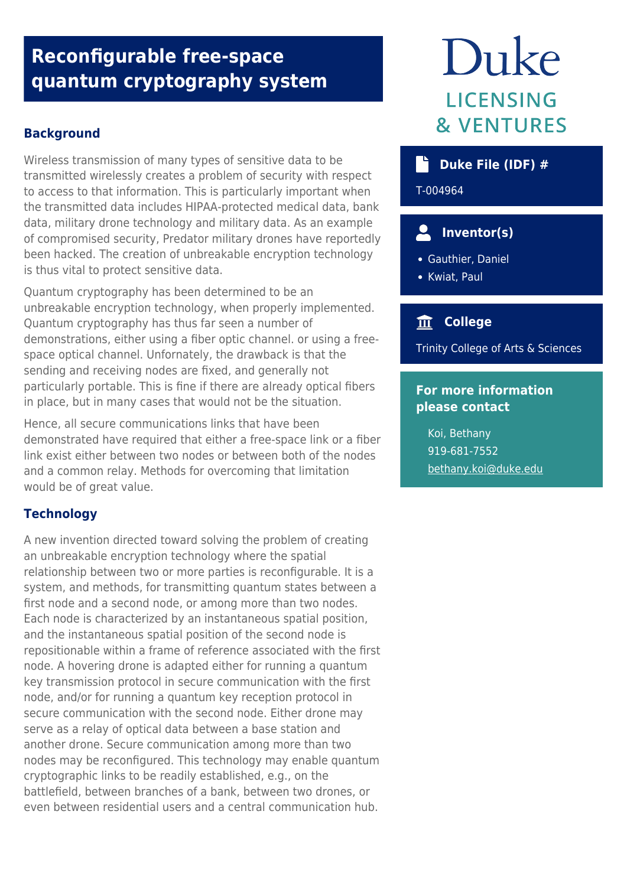## **Reconfigurable free-space quantum cryptography system**

#### **Background**

Wireless transmission of many types of sensitive data to be transmitted wirelessly creates a problem of security with respect to access to that information. This is particularly important when the transmitted data includes HIPAA-protected medical data, bank data, military drone technology and military data. As an example of compromised security, Predator military drones have reportedly been hacked. The creation of unbreakable encryption technology is thus vital to protect sensitive data.

Quantum cryptography has been determined to be an unbreakable encryption technology, when properly implemented. Quantum cryptography has thus far seen a number of demonstrations, either using a fiber optic channel. or using a freespace optical channel. Unfornately, the drawback is that the sending and receiving nodes are fixed, and generally not particularly portable. This is fine if there are already optical fibers in place, but in many cases that would not be the situation.

Hence, all secure communications links that have been demonstrated have required that either a free-space link or a fiber link exist either between two nodes or between both of the nodes and a common relay. Methods for overcoming that limitation would be of great value.

#### **Technology**

A new invention directed toward solving the problem of creating an unbreakable encryption technology where the spatial relationship between two or more parties is reconfigurable. It is a system, and methods, for transmitting quantum states between a first node and a second node, or among more than two nodes. Each node is characterized by an instantaneous spatial position, and the instantaneous spatial position of the second node is repositionable within a frame of reference associated with the first node. A hovering drone is adapted either for running a quantum key transmission protocol in secure communication with the first node, and/or for running a quantum key reception protocol in secure communication with the second node. Either drone may serve as a relay of optical data between a base station and another drone. Secure communication among more than two nodes may be reconfigured. This technology may enable quantum cryptographic links to be readily established, e.g., on the battlefield, between branches of a bank, between two drones, or even between residential users and a central communication hub.

# Duke LICENSING **& VENTURES**

#### **Duke File (IDF) #**

T-004964

### **Inventor(s)**

- Gauthier, Daniel
- Kwiat, Paul

#### **College**

Trinity College of Arts & Sciences

#### **For more information please contact**

Koi, Bethany 919-681-7552 [bethany.koi@duke.edu](mailto:bethany.koi@duke.edu)